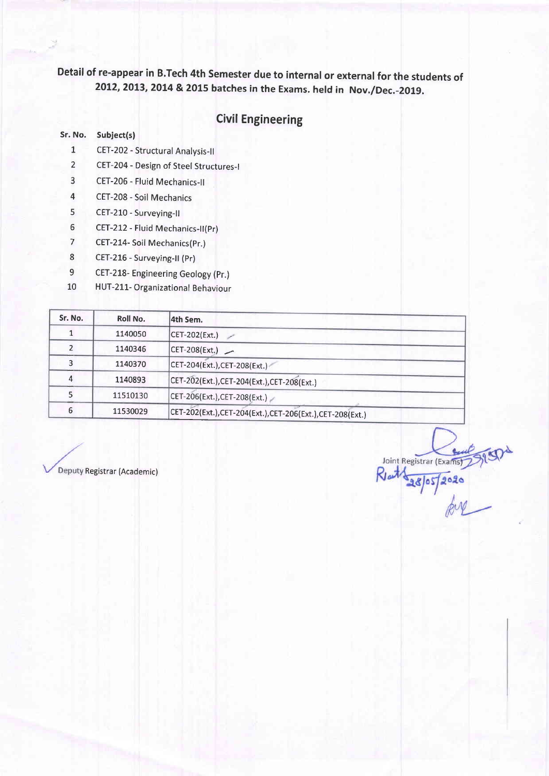### **Civil Engineering**

#### Sr. No. Subject(s)

- 1 CET-202 Structural Analysis-ll
- 2 CET-204 Design of Steel Structures-I
- 3 CET-206 Fluid Mechanics-II
- 4 CET-208 Soil Mechanics
- 5 CET-210 Surveying-il
- 5 CET-212 Fluid Mechanics-il(pr)
- 7 CET-214- Soil Mechanics(pr.)
- 8 CET-216 Surveying-II (Pr)
- 9 CET-218- Engineering Geology (pr.)
- 10 HUT-211- Organizational Behaviour

| Sr. No. | Roll No. | 4th Sem.                                                |
|---------|----------|---------------------------------------------------------|
|         | 1140050  | CET-202(Ext.)                                           |
|         | 1140346  | $ CET-208(Ext.) $                                       |
|         | 1140370  | CET-204(Ext.), CET-208(Ext.)                            |
|         | 1140893  | CET-202(Ext.),CET-204(Ext.),CET-208(Ext.)               |
|         | 11510130 | CET-206(Ext.), CET-208(Ext.)                            |
| 6       | 11530029 | CET-202(Ext.),CET-204(Ext.),CET-206(Ext.),CET-208(Ext.) |

Joint Registrar (Exams)

Deputy Registrar (Academic)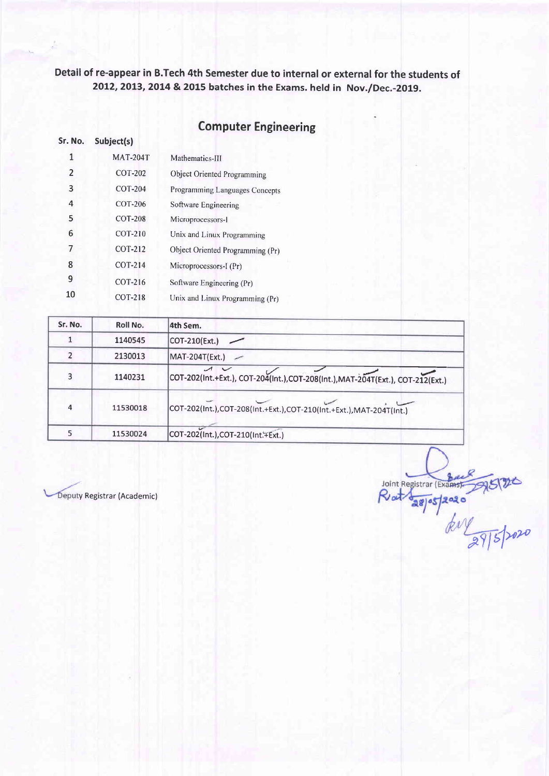### Computer Engineering

| Sr. No. | Subject(s)      |                                  |
|---------|-----------------|----------------------------------|
| 1       | <b>MAT-204T</b> | Mathematics-III                  |
| 2       | COT-202         | Object Oriented Programming      |
| 3       | COT-204         | Programming Languages Concepts   |
| 4       | COT-206         | Software Engineering             |
| 5       | <b>COT-208</b>  | Microprocessors-1                |
| 6       | COT-210         | Unix and Linux Programming       |
| 7       | COT-212         | Object Oriented Programming (Pr) |
| 8       | <b>COT-214</b>  | Microprocessors-I (Pr)           |
| 9       | COT-216         | Software Engineering (Pr)        |
| 10      | COT-218         | Unix and Linux Programming (Pr)  |

| Sr. No.        | Roll No. | 4th Sem.                                                                                    |
|----------------|----------|---------------------------------------------------------------------------------------------|
|                | 1140545  | COT-210(Ext.)                                                                               |
|                | 2130013  | MAT-204T(Ext.)<br>$\overline{\phantom{a}}$                                                  |
| 3              | 1140231  | $\sqrt{2}$<br>COT-202(Int.+Ext.), COT-204(Int.),COT-208(Int.),MAT-204T(Ext.), COT-212(Ext.) |
| $\overline{4}$ | 11530018 | COT-202(Int.),COT-208(Int.+Ext.),COT-210(Int.+Ext.),MAT-204T(Int.)                          |
|                | 11530024 | COT-202(Int.), COT-210(Int. FExt.)                                                          |

Joint Registrar (Example ) 2020

Deputy Registrar (Academic)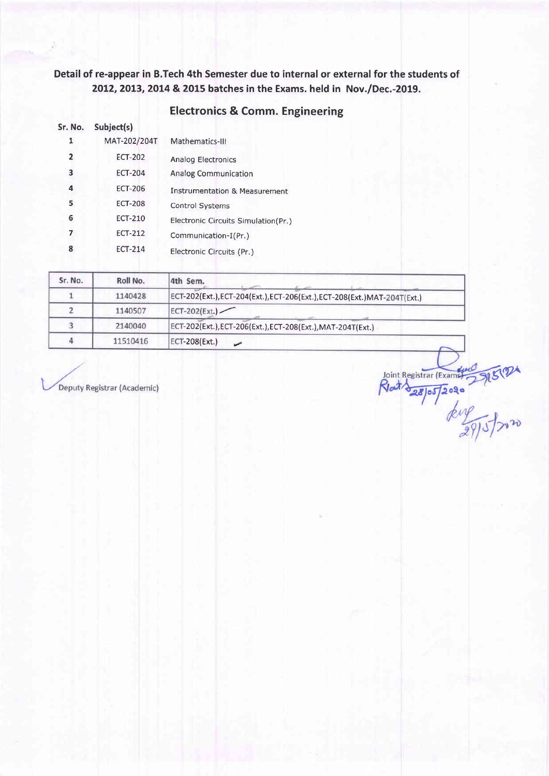### Electronics & Comm. Engineering

| Sr. No.        | Subject(s)     |                                          |
|----------------|----------------|------------------------------------------|
|                | MAT-202/204T   | Mathematics-III                          |
| $\overline{2}$ | <b>ECT-202</b> | Analog Electronics                       |
| 3              | <b>ECT-204</b> | <b>Analog Communication</b>              |
| 4              | <b>ECT-206</b> | <b>Instrumentation &amp; Measurement</b> |
| 5              | <b>ECT-208</b> | <b>Control Systems</b>                   |
| 6              | <b>ECT-210</b> | Electronic Circuits Simulation(Pr.)      |
|                | <b>ECT-212</b> | Communication-I(Pr.)                     |
| 8              | <b>ECT-214</b> | Electronic Circuits (Pr.)                |

| Sr. No. | Roll No. | 4th Sem.                                                                  |
|---------|----------|---------------------------------------------------------------------------|
|         | 1140428  | ECT-202(Ext.), ECT-204(Ext.), ECT-206(Ext.), ECT-208(Ext.) MAT-204T(Ext.) |
|         | 1140507  | $ECT-202(Ext.)$                                                           |
|         | 2140040  | ECT-202(Ext.), ECT-206(Ext.), ECT-208(Ext.), MAT-204T(Ext.)               |
|         | 11510416 | ECT-208(Ext.)                                                             |

Deputy Registrar (Academic)

Joint Registrar (Example 3/15/7)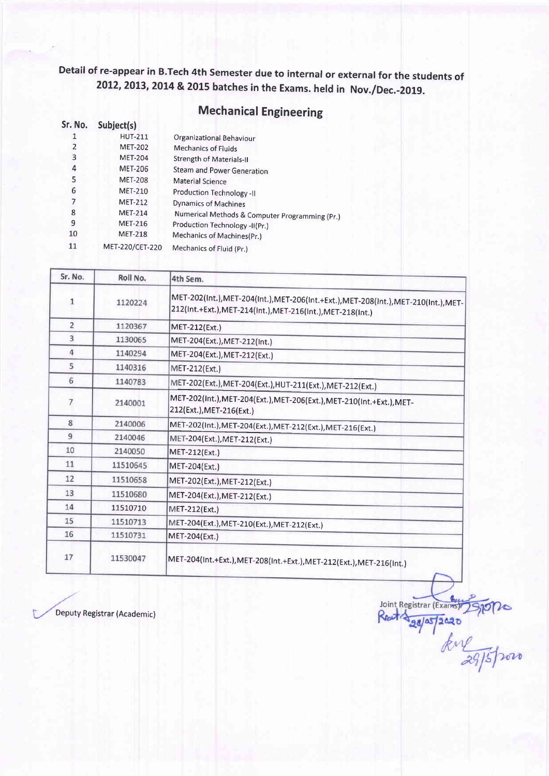# **Mechanical Engineering**

| Sr. No. | Subject(s)      |                                                |
|---------|-----------------|------------------------------------------------|
| 1       | <b>HUT-211</b>  | Organizational Behaviour                       |
| 2       | <b>MET-202</b>  | <b>Mechanics of Fluids</b>                     |
| 3       | <b>MET-204</b>  | Strength of Materials-II                       |
| 4       | <b>MET-206</b>  | <b>Steam and Power Generation</b>              |
| 5       | <b>MET-208</b>  | <b>Material Science</b>                        |
| 6       | <b>MET-210</b>  | Production Technology -II                      |
| 7       | <b>MET-212</b>  | Dynamics of Machines                           |
| 8       | <b>MET-214</b>  | Numerical Methods & Computer Programming (Pr.) |
| 9       | <b>MET-216</b>  | Production Technology -II(Pr.)                 |
| 10      | <b>MET-218</b>  | Mechanics of Machines(Pr.)                     |
| 11      | MET-220/CET-220 | Mechanics of Fluid (Pr.)                       |

| Sr. No.        | Roll No. | 4th Sem.                                                                                                                                       |
|----------------|----------|------------------------------------------------------------------------------------------------------------------------------------------------|
| 1              | 1120224  | MET-202(Int.),MET-204(Int.),MET-206(Int.+Ext.),MET-208(Int.),MET-210(Int.),MET-<br>212(Int.+Ext.), MET-214(Int.), MET-216(Int.), MET-218(Int.) |
| $\overline{2}$ | 1120367  | MET-212(Ext.)                                                                                                                                  |
| 3              | 1130065  | MET-204(Ext.), MET-212(Int.)                                                                                                                   |
| 4              | 1140294  | MET-204(Ext.), MET-212(Ext.)                                                                                                                   |
| 5              | 1140316  | MET-212(Ext.)                                                                                                                                  |
| 6              | 1140783  | MET-202(Ext.), MET-204(Ext.), HUT-211(Ext.), MET-212(Ext.)                                                                                     |
| 7              | 2140001  | MET-202(Int.), MET-204(Ext.), MET-206(Ext.), MET-210(Int.+Ext.), MET-<br>212(Ext.), MET-216(Ext.)                                              |
| 8              | 2140006  | MET-202(Int.), MET-204(Ext.), MET-212(Ext.), MET-216(Ext.)                                                                                     |
| 9              | 2140046  | MET-204(Ext.), MET-212(Ext.)                                                                                                                   |
| 10             | 2140050  | MET-212(Ext.)                                                                                                                                  |
| 11             | 11510645 | MET-204(Ext.)                                                                                                                                  |
| 12             | 11510658 | MET-202(Ext.), MET-212(Ext.)                                                                                                                   |
| 13             | 11510680 | MET-204(Ext.), MET-212(Ext.)                                                                                                                   |
| 14             | 11510710 | MET-212(Ext.)                                                                                                                                  |
| 15             | 11510713 | MET-204(Ext.), MET-210(Ext.), MET-212(Ext.)                                                                                                    |
| 16             | 11510731 | MET-204(Ext.)                                                                                                                                  |
| 17             | 11530047 | MET-204(Int.+Ext.),MET-208(Int.+Ext.),MET-212(Ext.),MET-216(Int.)                                                                              |

Joint Registrar (Example)

Deputy Registrar (Academic)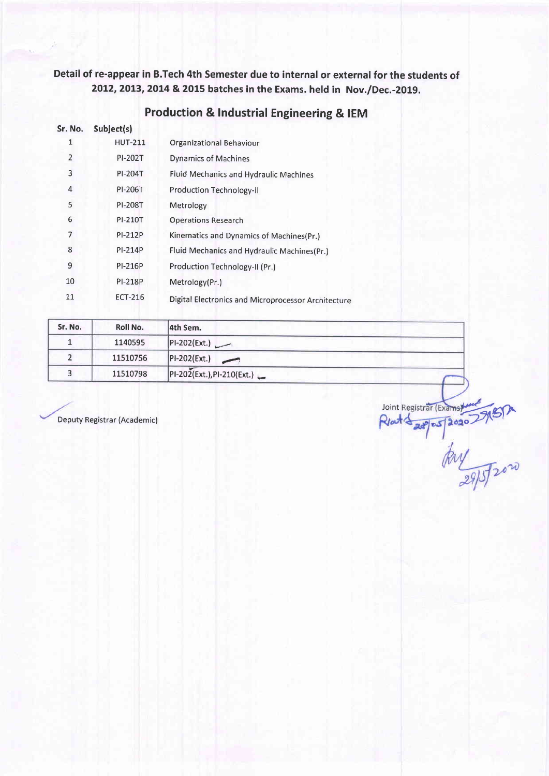| Sr. No. | Subject(s)     |                                                     |
|---------|----------------|-----------------------------------------------------|
| 1       | <b>HUT-211</b> | Organizational Behaviour                            |
| 2       | PI-202T        | <b>Dynamics of Machines</b>                         |
| 3       | PI-204T        | Fluid Mechanics and Hydraulic Machines              |
| 4       | PI-206T        | <b>Production Technology-II</b>                     |
| 5       | <b>PI-208T</b> | Metrology                                           |
| 6       | PI-210T        | <b>Operations Research</b>                          |
| 7       | PI-212P        | Kinematics and Dynamics of Machines(Pr.)            |
| 8       | PI-214P        | Fluid Mechanics and Hydraulic Machines(Pr.)         |
| 9       | <b>PI-216P</b> | Production Technology-II (Pr.)                      |
| 10      | <b>PI-218P</b> | Metrology(Pr.)                                      |
| 11      | <b>ECT-216</b> | Digital Electronics and Microprocessor Architecture |

### Production & lndustrial Engineering & IEM

| Sr. No. | Roll No. | 4th Sem.                      |  |
|---------|----------|-------------------------------|--|
|         | 1140595  | - PI-202(Ext.)                |  |
|         | 11510756 | PI-202(Ext.)<br>$\rightarrow$ |  |
|         | 11510798 | $PI-202(Ext.), PI-210(Ext.)$  |  |

Deputy Registrar (Academic)

Joint Registrar (Exams)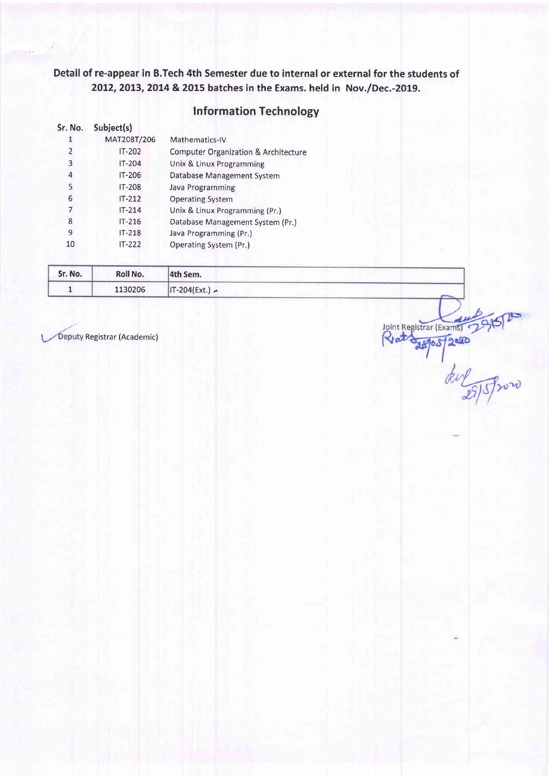### **Information Technology**

| Sr. No.        | Subject(s)    |                                                 |
|----------------|---------------|-------------------------------------------------|
|                | MAT208T/206   | Mathematics-IV                                  |
| $\overline{2}$ | <b>IT-202</b> | <b>Computer Organization &amp; Architecture</b> |
| 3              | <b>IT-204</b> | Unix & Linux Programming                        |
| 4              | IT-206        | Database Management System                      |
| 5              | IT-208        | Java Programming                                |
| 6              | $IT-212$      | <b>Operating System</b>                         |
| 7              | $IT-214$      | Unix & Linux Programming (Pr.)                  |
| 8              | $IT-216$      | Database Management System (Pr.)                |
| 9              | IT-218        | Java Programming (Pr.)                          |
| 10             | $IT-222$      | Operating System (Pr.)                          |

| Sr. No. | Roll No. | 4th Sem.         |  |
|---------|----------|------------------|--|
|         | 1130206  | $IT-204(Ext.) -$ |  |

The Registrar (Academic)<br>
Registrar (Academic)<br>
Registrar (Academic)<br>
Registrar (Exams)<br>
Providence Registrar (Exams)<br>
Providence Registrar (Exams)